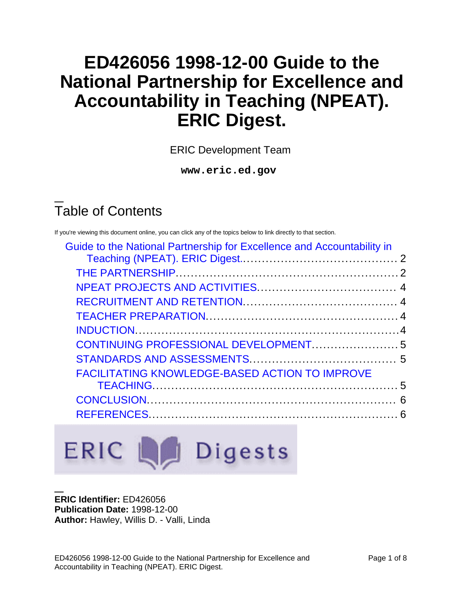# **ED426056 1998-12-00 Guide to the National Partnership for Excellence and Accountability in Teaching (NPEAT). ERIC Digest.**

ERIC Development Team

**www.eric.ed.gov**

# Table of Contents

If you're viewing this document online, you can click any of the topics below to link directly to that section.

| Guide to the National Partnership for Excellence and Accountability in |  |
|------------------------------------------------------------------------|--|
|                                                                        |  |
|                                                                        |  |
|                                                                        |  |
|                                                                        |  |
|                                                                        |  |
|                                                                        |  |
|                                                                        |  |
|                                                                        |  |
| <b>FACILITATING KNOWLEDGE-BASED ACTION TO IMPROVE</b>                  |  |
|                                                                        |  |
|                                                                        |  |
|                                                                        |  |
|                                                                        |  |

# ERIC La Digests

#### **ERIC Identifier:** ED426056 **Publication Date:** 1998-12-00 **Author:** Hawley, Willis D. - Valli, Linda

ED426056 1998-12-00 Guide to the National Partnership for Excellence and Accountability in Teaching (NPEAT). ERIC Digest.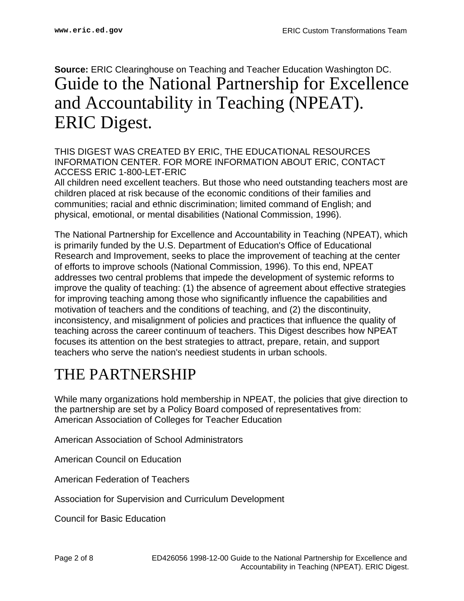#### <span id="page-1-0"></span>**Source:** ERIC Clearinghouse on Teaching and Teacher Education Washington DC. Guide to the National Partnership for Excellence and Accountability in Teaching (NPEAT). ERIC Digest.

THIS DIGEST WAS CREATED BY ERIC, THE EDUCATIONAL RESOURCES INFORMATION CENTER. FOR MORE INFORMATION ABOUT ERIC, CONTACT ACCESS ERIC 1-800-LET-ERIC

All children need excellent teachers. But those who need outstanding teachers most are children placed at risk because of the economic conditions of their families and communities; racial and ethnic discrimination; limited command of English; and physical, emotional, or mental disabilities (National Commission, 1996).

The National Partnership for Excellence and Accountability in Teaching (NPEAT), which is primarily funded by the U.S. Department of Education's Office of Educational Research and Improvement, seeks to place the improvement of teaching at the center of efforts to improve schools (National Commission, 1996). To this end, NPEAT addresses two central problems that impede the development of systemic reforms to improve the quality of teaching: (1) the absence of agreement about effective strategies for improving teaching among those who significantly influence the capabilities and motivation of teachers and the conditions of teaching, and (2) the discontinuity, inconsistency, and misalignment of policies and practices that influence the quality of teaching across the career continuum of teachers. This Digest describes how NPEAT focuses its attention on the best strategies to attract, prepare, retain, and support teachers who serve the nation's neediest students in urban schools.

#### <span id="page-1-1"></span>THE PARTNERSHIP

While many organizations hold membership in NPEAT, the policies that give direction to the partnership are set by a Policy Board composed of representatives from: American Association of Colleges for Teacher Education

American Association of School Administrators

American Council on Education

American Federation of Teachers

Association for Supervision and Curriculum Development

Council for Basic Education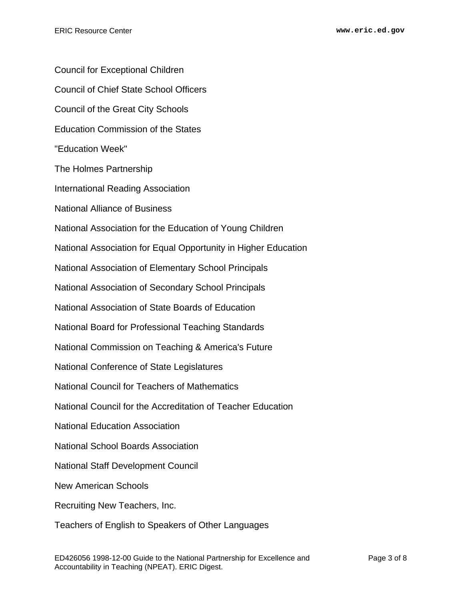Council for Exceptional Children Council of Chief State School Officers Council of the Great City Schools Education Commission of the States "Education Week" The Holmes Partnership International Reading Association National Alliance of Business National Association for the Education of Young Children National Association for Equal Opportunity in Higher Education National Association of Elementary School Principals National Association of Secondary School Principals National Association of State Boards of Education National Board for Professional Teaching Standards National Commission on Teaching & America's Future National Conference of State Legislatures National Council for Teachers of Mathematics National Council for the Accreditation of Teacher Education National Education Association National School Boards Association National Staff Development Council New American Schools Recruiting New Teachers, Inc. Teachers of English to Speakers of Other Languages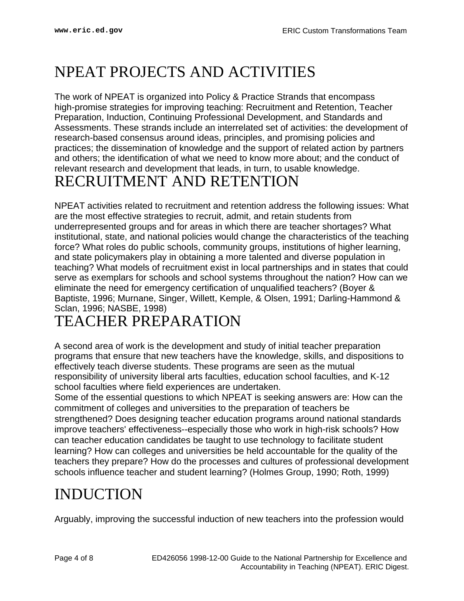### <span id="page-3-0"></span>NPEAT PROJECTS AND ACTIVITIES

The work of NPEAT is organized into Policy & Practice Strands that encompass high-promise strategies for improving teaching: Recruitment and Retention, Teacher Preparation, Induction, Continuing Professional Development, and Standards and Assessments. These strands include an interrelated set of activities: the development of research-based consensus around ideas, principles, and promising policies and practices; the dissemination of knowledge and the support of related action by partners and others; the identification of what we need to know more about; and the conduct of relevant research and development that leads, in turn, to usable knowledge. RECRUITMENT AND RETENTION

#### <span id="page-3-1"></span>NPEAT activities related to recruitment and retention address the following issues: What are the most effective strategies to recruit, admit, and retain students from underrepresented groups and for areas in which there are teacher shortages? What institutional, state, and national policies would change the characteristics of the teaching force? What roles do public schools, community groups, institutions of higher learning, and state policymakers play in obtaining a more talented and diverse population in teaching? What models of recruitment exist in local partnerships and in states that could serve as exemplars for schools and school systems throughout the nation? How can we eliminate the need for emergency certification of unqualified teachers? (Boyer & Baptiste, 1996; Murnane, Singer, Willett, Kemple, & Olsen, 1991; Darling-Hammond & Sclan, 1996; NASBE, 1998)

#### <span id="page-3-2"></span>TEACHER PREPARATION

A second area of work is the development and study of initial teacher preparation programs that ensure that new teachers have the knowledge, skills, and dispositions to effectively teach diverse students. These programs are seen as the mutual responsibility of university liberal arts faculties, education school faculties, and K-12 school faculties where field experiences are undertaken.

Some of the essential questions to which NPEAT is seeking answers are: How can the commitment of colleges and universities to the preparation of teachers be strengthened? Does designing teacher education programs around national standards improve teachers' effectiveness--especially those who work in high-risk schools? How can teacher education candidates be taught to use technology to facilitate student learning? How can colleges and universities be held accountable for the quality of the teachers they prepare? How do the processes and cultures of professional development schools influence teacher and student learning? (Holmes Group, 1990; Roth, 1999)

### <span id="page-3-3"></span>INDUCTION

Arguably, improving the successful induction of new teachers into the profession would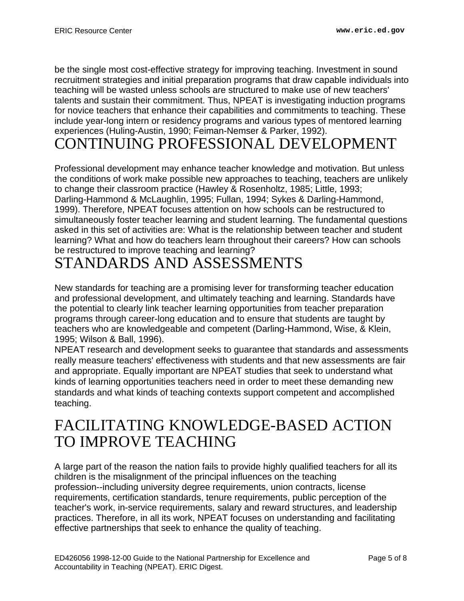be the single most cost-effective strategy for improving teaching. Investment in sound recruitment strategies and initial preparation programs that draw capable individuals into teaching will be wasted unless schools are structured to make use of new teachers' talents and sustain their commitment. Thus, NPEAT is investigating induction programs for novice teachers that enhance their capabilities and commitments to teaching. These include year-long intern or residency programs and various types of mentored learning experiences (Huling-Austin, 1990; Feiman-Nemser & Parker, 1992).

#### <span id="page-4-0"></span>CONTINUING PROFESSIONAL DEVELOPMENT

Professional development may enhance teacher knowledge and motivation. But unless the conditions of work make possible new approaches to teaching, teachers are unlikely to change their classroom practice (Hawley & Rosenholtz, 1985; Little, 1993; Darling-Hammond & McLaughlin, 1995; Fullan, 1994; Sykes & Darling-Hammond, 1999). Therefore, NPEAT focuses attention on how schools can be restructured to simultaneously foster teacher learning and student learning. The fundamental questions asked in this set of activities are: What is the relationship between teacher and student learning? What and how do teachers learn throughout their careers? How can schools be restructured to improve teaching and learning?

#### <span id="page-4-1"></span>STANDARDS AND ASSESSMENTS

New standards for teaching are a promising lever for transforming teacher education and professional development, and ultimately teaching and learning. Standards have the potential to clearly link teacher learning opportunities from teacher preparation programs through career-long education and to ensure that students are taught by teachers who are knowledgeable and competent (Darling-Hammond, Wise, & Klein, 1995; Wilson & Ball, 1996).

NPEAT research and development seeks to guarantee that standards and assessments really measure teachers' effectiveness with students and that new assessments are fair and appropriate. Equally important are NPEAT studies that seek to understand what kinds of learning opportunities teachers need in order to meet these demanding new standards and what kinds of teaching contexts support competent and accomplished teaching.

#### <span id="page-4-2"></span>FACILITATING KNOWLEDGE-BASED ACTION TO IMPROVE TEACHING

A large part of the reason the nation fails to provide highly qualified teachers for all its children is the misalignment of the principal influences on the teaching profession--including university degree requirements, union contracts, license requirements, certification standards, tenure requirements, public perception of the teacher's work, in-service requirements, salary and reward structures, and leadership practices. Therefore, in all its work, NPEAT focuses on understanding and facilitating effective partnerships that seek to enhance the quality of teaching.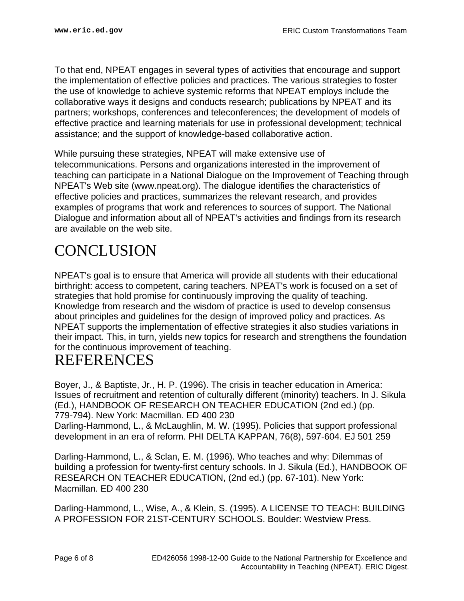To that end, NPEAT engages in several types of activities that encourage and support the implementation of effective policies and practices. The various strategies to foster the use of knowledge to achieve systemic reforms that NPEAT employs include the collaborative ways it designs and conducts research; publications by NPEAT and its partners; workshops, conferences and teleconferences; the development of models of effective practice and learning materials for use in professional development; technical assistance; and the support of knowledge-based collaborative action.

While pursuing these strategies, NPEAT will make extensive use of telecommunications. Persons and organizations interested in the improvement of teaching can participate in a National Dialogue on the Improvement of Teaching through NPEAT's Web site (www.npeat.org). The dialogue identifies the characteristics of effective policies and practices, summarizes the relevant research, and provides examples of programs that work and references to sources of support. The National Dialogue and information about all of NPEAT's activities and findings from its research are available on the web site.

#### <span id="page-5-0"></span>**CONCLUSION**

NPEAT's goal is to ensure that America will provide all students with their educational birthright: access to competent, caring teachers. NPEAT's work is focused on a set of strategies that hold promise for continuously improving the quality of teaching. Knowledge from research and the wisdom of practice is used to develop consensus about principles and guidelines for the design of improved policy and practices. As NPEAT supports the implementation of effective strategies it also studies variations in their impact. This, in turn, yields new topics for research and strengthens the foundation for the continuous improvement of teaching.

#### <span id="page-5-1"></span>REFERENCES

Boyer, J., & Baptiste, Jr., H. P. (1996). The crisis in teacher education in America: Issues of recruitment and retention of culturally different (minority) teachers. In J. Sikula (Ed.), HANDBOOK OF RESEARCH ON TEACHER EDUCATION (2nd ed.) (pp. 779-794). New York: Macmillan. ED 400 230

Darling-Hammond, L., & McLaughlin, M. W. (1995). Policies that support professional development in an era of reform. PHI DELTA KAPPAN, 76(8), 597-604. EJ 501 259

Darling-Hammond, L., & Sclan, E. M. (1996). Who teaches and why: Dilemmas of building a profession for twenty-first century schools. In J. Sikula (Ed.), HANDBOOK OF RESEARCH ON TEACHER EDUCATION, (2nd ed.) (pp. 67-101). New York: Macmillan. ED 400 230

Darling-Hammond, L., Wise, A., & Klein, S. (1995). A LICENSE TO TEACH: BUILDING A PROFESSION FOR 21ST-CENTURY SCHOOLS. Boulder: Westview Press.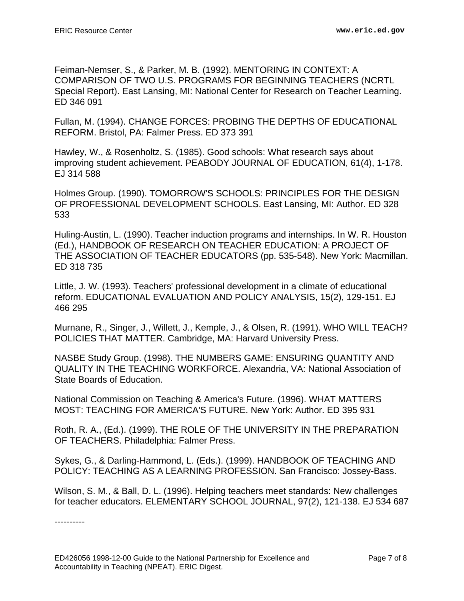Feiman-Nemser, S., & Parker, M. B. (1992). MENTORING IN CONTEXT: A COMPARISON OF TWO U.S. PROGRAMS FOR BEGINNING TEACHERS (NCRTL Special Report). East Lansing, MI: National Center for Research on Teacher Learning. ED 346 091

Fullan, M. (1994). CHANGE FORCES: PROBING THE DEPTHS OF EDUCATIONAL REFORM. Bristol, PA: Falmer Press. ED 373 391

Hawley, W., & Rosenholtz, S. (1985). Good schools: What research says about improving student achievement. PEABODY JOURNAL OF EDUCATION, 61(4), 1-178. EJ 314 588

Holmes Group. (1990). TOMORROW'S SCHOOLS: PRINCIPLES FOR THE DESIGN OF PROFESSIONAL DEVELOPMENT SCHOOLS. East Lansing, MI: Author. ED 328 533

Huling-Austin, L. (1990). Teacher induction programs and internships. In W. R. Houston (Ed.), HANDBOOK OF RESEARCH ON TEACHER EDUCATION: A PROJECT OF THE ASSOCIATION OF TEACHER EDUCATORS (pp. 535-548). New York: Macmillan. ED 318 735

Little, J. W. (1993). Teachers' professional development in a climate of educational reform. EDUCATIONAL EVALUATION AND POLICY ANALYSIS, 15(2), 129-151. EJ 466 295

Murnane, R., Singer, J., Willett, J., Kemple, J., & Olsen, R. (1991). WHO WILL TEACH? POLICIES THAT MATTER. Cambridge, MA: Harvard University Press.

NASBE Study Group. (1998). THE NUMBERS GAME: ENSURING QUANTITY AND QUALITY IN THE TEACHING WORKFORCE. Alexandria, VA: National Association of State Boards of Education.

National Commission on Teaching & America's Future. (1996). WHAT MATTERS MOST: TEACHING FOR AMERICA'S FUTURE. New York: Author. ED 395 931

Roth, R. A., (Ed.). (1999). THE ROLE OF THE UNIVERSITY IN THE PREPARATION OF TEACHERS. Philadelphia: Falmer Press.

Sykes, G., & Darling-Hammond, L. (Eds.). (1999). HANDBOOK OF TEACHING AND POLICY: TEACHING AS A LEARNING PROFESSION. San Francisco: Jossey-Bass.

Wilson, S. M., & Ball, D. L. (1996). Helping teachers meet standards: New challenges for teacher educators. ELEMENTARY SCHOOL JOURNAL, 97(2), 121-138. EJ 534 687

----------